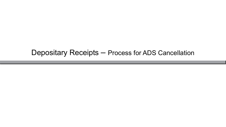# Depositary Receipts – Process for ADS Cancellation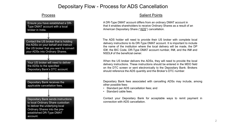# Depositary Flow - Process for ADS Cancellation

#### Process



### Salient Points

A DR-Type DMAT account differs from an ordinary DMAT account in that it enables shareholders to receive Ordinary Shares as a result of an American Depositary Share ("ADS") cancellation.

The ADS holder will need to provide their US broker with complete local delivery instructions to its DR-Type DMAT account. It is important to include the name of the institution where the local delivery will be made, the DP ID#, the BIC Code, DR-Type DMAT account number, IN#, and the IN# and NSDL# of the beneficial owner.

When the US broker delivers the ADSs, they will need to provide the local delivery instructions. These instructions should be entered in the MDO field on the DTC screen or sent electronically to the Depositary Bank. Brokers should reference the ADS quantity and the Broker's DTC number.

Depositary Bank fees associated with cancelling ADSs may include, among other possible fees:

- Standard per ADS cancellation fees; and
- Standard cable fees.

Contact your Depositary Bank for acceptable ways to remit payment in